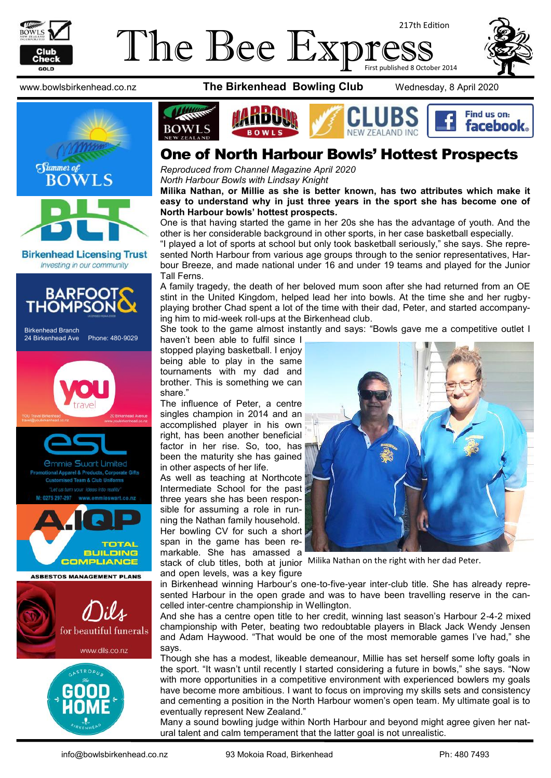





Investing in our community



Birkenhead Branch 24 Birkenhead Ave Phone: 480-9029





www.bowlsbirkenhead.co.nz **The Birkenhead Bowling Club** Wednesday, 8 April 2020



## One of North Harbour Bowls' Hottest Prospects

*Reproduced from Channel Magazine April 2020 North Harbour Bowls with Lindsay Knight*

**Milika Nathan, or Millie as she is better known, has two attributes which make it easy to understand why in just three years in the sport she has become one of North Harbour bowls' hottest prospects.**

One is that having started the game in her 20s she has the advantage of youth. And the other is her considerable background in other sports, in her case basketball especially.

"I played a lot of sports at school but only took basketball seriously," she says. She represented North Harbour from various age groups through to the senior representatives, Harbour Breeze, and made national under 16 and under 19 teams and played for the Junior Tall Ferns.

A family tragedy, the death of her beloved mum soon after she had returned from an OE stint in the United Kingdom, helped lead her into bowls. At the time she and her rugbyplaying brother Chad spent a lot of the time with their dad, Peter, and started accompanying him to mid-week roll-ups at the Birkenhead club.

She took to the game almost instantly and says: "Bowls gave me a competitive outlet I

haven't been able to fulfil since I stopped playing basketball. I enjoy being able to play in the same tournaments with my dad and brother. This is something we can share."

The influence of Peter, a centre singles champion in 2014 and an accomplished player in his own right, has been another beneficial factor in her rise. So, too, has been the maturity she has gained in other aspects of her life.

As well as teaching at Northcote Intermediate School for the past three years she has been responsible for assuming a role in running the Nathan family household. Her bowling CV for such a short span in the game has been remarkable. She has amassed a

and open levels, was a key figure



stack of club titles, both at junior Milika Nathan on the right with her dad Peter.

in Birkenhead winning Harbour's one-to-five-year inter-club title. She has already represented Harbour in the open grade and was to have been travelling reserve in the cancelled inter-centre championship in Wellington.

And she has a centre open title to her credit, winning last season's Harbour 2-4-2 mixed championship with Peter, beating two redoubtable players in Black Jack Wendy Jensen and Adam Haywood. "That would be one of the most memorable games I've had," she says.

Though she has a modest, likeable demeanour, Millie has set herself some lofty goals in the sport. "It wasn't until recently I started considering a future in bowls," she says. "Now with more opportunities in a competitive environment with experienced bowlers my goals have become more ambitious. I want to focus on improving my skills sets and consistency and cementing a position in the North Harbour women's open team. My ultimate goal is to eventually represent New Zealand."

Many a sound bowling judge within North Harbour and beyond might agree given her natural talent and calm temperament that the latter goal is not unrealistic.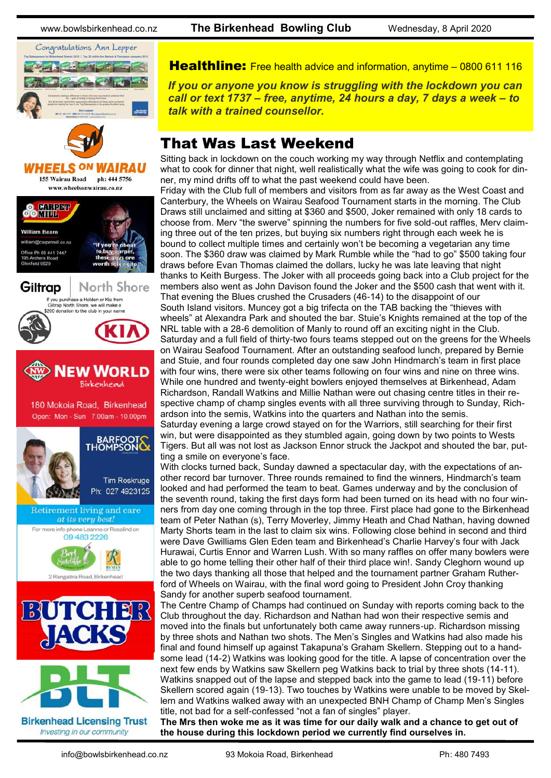www.bowlsbirkenhead.co.nz **The Birkenhead Bowling Club** Wednesday, 8 April 2020



**Healthline:** Free health advice and information, anytime – [0800 611 116](tel:0800611116)

*If you or anyone you know is struggling with the lockdown you can call or text 1737 – free, anytime, 24 hours a day, 7 days a week – to talk with a trained counsellor.*

# That Was Last Weekend

Sitting back in lockdown on the couch working my way through Netflix and contemplating what to cook for dinner that night, well realistically what the wife was going to cook for dinner, my mind drifts off to what the past weekend could have been.

Friday with the Club full of members and visitors from as far away as the West Coast and Canterbury, the Wheels on Wairau Seafood Tournament starts in the morning. The Club Draws still unclaimed and sitting at \$360 and \$500, Joker remained with only 18 cards to choose from. Merv "the swerve" spinning the numbers for five sold-out raffles, Merv claiming three out of the ten prizes, but buying six numbers right through each week he is bound to collect multiple times and certainly won't be becoming a vegetarian any time soon. The \$360 draw was claimed by Mark Rumble while the "had to go" \$500 taking four draws before Evan Thomas claimed the dollars, lucky he was late leaving that night thanks to Keith Burgess. The Joker with all proceeds going back into a Club project for the members also went as John Davison found the Joker and the \$500 cash that went with it. That evening the Blues crushed the Crusaders (46-14) to the disappoint of our South Island visitors. Muncey got a big trifecta on the TAB backing the "thieves with wheels" at Alexandra Park and shouted the bar. Stuie's Knights remained at the top of the NRL table with a 28-6 demolition of Manly to round off an exciting night in the Club. Saturday and a full field of thirty-two fours teams stepped out on the greens for the Wheels on Wairau Seafood Tournament. After an outstanding seafood lunch, prepared by Bernie and Stuie, and four rounds completed day one saw John Hindmarch's team in first place with four wins, there were six other teams following on four wins and nine on three wins. While one hundred and twenty-eight bowlers enjoyed themselves at Birkenhead, Adam Richardson, Randall Watkins and Millie Nathan were out chasing centre titles in their respective champ of champ singles events with all three surviving through to Sunday, Richardson into the semis, Watkins into the quarters and Nathan into the semis. Saturday evening a large crowd stayed on for the Warriors, still searching for their first win, but were disappointed as they stumbled again, going down by two points to Wests Tigers. But all was not lost as Jackson Ennor struck the Jackpot and shouted the bar, putting a smile on everyone's face.

With clocks turned back, Sunday dawned a spectacular day, with the expectations of another record bar turnover. Three rounds remained to find the winners, Hindmarch's team looked and had performed the team to beat. Games underway and by the conclusion of the seventh round, taking the first days form had been turned on its head with no four winners from day one coming through in the top three. First place had gone to the Birkenhead team of Peter Nathan (s), Terry Moverley, Jimmy Heath and Chad Nathan, having downed Marty Shorts team in the last to claim six wins. Following close behind in second and third were Dave Gwilliams Glen Eden team and Birkenhead's Charlie Harvey's four with Jack Hurawai, Curtis Ennor and Warren Lush. With so many raffles on offer many bowlers were able to go home telling their other half of their third place win!. Sandy Cleghorn wound up the two days thanking all those that helped and the tournament partner Graham Rutherford of Wheels on Wairau, with the final word going to President John Croy thanking Sandy for another superb seafood tournament.

The Centre Champ of Champs had continued on Sunday with reports coming back to the Club throughout the day. Richardson and Nathan had won their respective semis and moved into the finals but unfortunately both came away runners-up. Richardson missing by three shots and Nathan two shots. The Men's Singles and Watkins had also made his final and found himself up against Takapuna's Graham Skellern. Stepping out to a handsome lead (14-2) Watkins was looking good for the title. A lapse of concentration over the next few ends by Watkins saw Skellern peg Watkins back to trial by three shots (14-11). Watkins snapped out of the lapse and stepped back into the game to lead (19-11) before Skellern scored again (19-13). Two touches by Watkins were unable to be moved by Skellern and Watkins walked away with an unexpected BNH Champ of Champ Men's Singles title, not bad for a self-confessed "not a fan of singles" player.

**The Mrs then woke me as it was time for our daily walk and a chance to get out of the house during this lockdown period we currently find ourselves in.**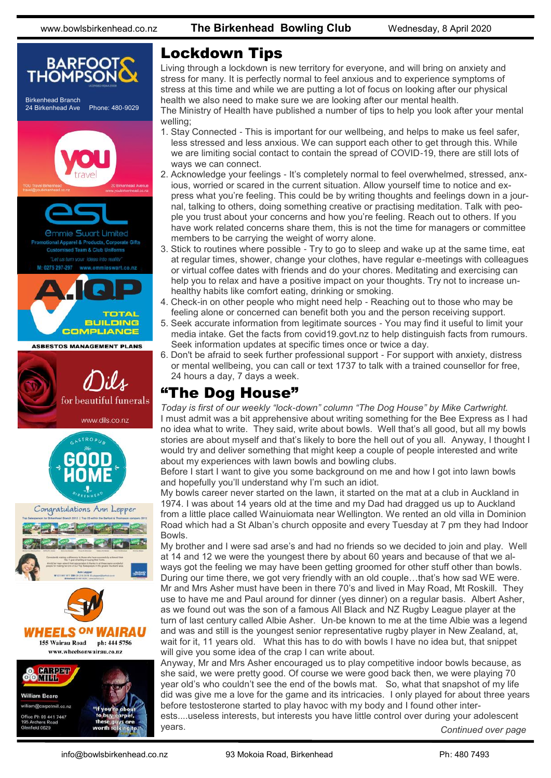

# Lockdown Tips

Living through a lockdown is new territory for everyone, and will bring on anxiety and stress for many. It is perfectly normal to feel anxious and to experience symptoms of stress at this time and while we are putting a lot of focus on looking after our physical health we also need to make sure we are looking after our mental health.

The Ministry of Health have published a number of tips to help you look after your mental welling;

- 1. Stay Connected This is important for our wellbeing, and helps to make us feel safer, less stressed and less anxious. We can support each other to get through this. While we are limiting social contact to contain the spread of COVID-19, there are still lots of ways we can connect.
- 2. Acknowledge your feelings It's completely normal to feel overwhelmed, stressed, anxious, worried or scared in the current situation. Allow yourself time to notice and express what you're feeling. This could be by writing thoughts and feelings down in a journal, talking to others, doing something creative or practising meditation. Talk with people you trust about your concerns and how you're feeling. Reach out to others. If you have work related concerns share them, this is not the time for managers or committee members to be carrying the weight of worry alone.
- 3. Stick to routines where possible Try to go to sleep and wake up at the same time, eat at regular times, shower, change your clothes, have regular e-meetings with colleagues or virtual coffee dates with friends and do your chores. Meditating and exercising can help you to relax and have a positive impact on your thoughts. Try not to increase unhealthy habits like comfort eating, drinking or smoking.
- 4. Check-in on other people who might need help Reaching out to those who may be feeling alone or concerned can benefit both you and the person receiving support.
- 5. Seek accurate information from legitimate sources You may find it useful to limit your media intake. Get the facts from covid19.govt.nz to help distinguish facts from rumours. Seek information updates at specific times once or twice a day.
- 6. Don't be afraid to seek further professional support For support with anxiety, distress or mental wellbeing, you can call or text 1737 to talk with a trained counsellor for free, 24 hours a day, 7 days a week.

# "The Dog House"

*Today is first of our weekly "lock-down" column "The Dog House" by Mike Cartwright.*  I must admit was a bit apprehensive about writing something for the Bee Express as I had no idea what to write. They said, write about bowls. Well that's all good, but all my bowls stories are about myself and that's likely to bore the hell out of you all. Anyway, I thought I would try and deliver something that might keep a couple of people interested and write about my experiences with lawn bowls and bowling clubs.

Before I start I want to give you some background on me and how I got into lawn bowls and hopefully you'll understand why I'm such an idiot.

My bowls career never started on the lawn, it started on the mat at a club in Auckland in 1974. I was about 14 years old at the time and my Dad had dragged us up to Auckland from a little place called Wainuiomata near Wellington. We rented an old villa in Dominion Road which had a St Alban's church opposite and every Tuesday at 7 pm they had Indoor Bowls.

My brother and I were sad arse's and had no friends so we decided to join and play. Well at 14 and 12 we were the youngest there by about 60 years and because of that we always got the feeling we may have been getting groomed for other stuff other than bowls. During our time there, we got very friendly with an old couple…that's how sad WE were. Mr and Mrs Asher must have been in there 70's and lived in May Road, Mt Roskill. They use to have me and Paul around for dinner (yes dinner) on a regular basis. Albert Asher, as we found out was the son of a famous All Black and NZ Rugby League player at the turn of last century called Albie Asher. Un-be known to me at the time Albie was a legend and was and still is the youngest senior representative rugby player in New Zealand, at, wait for it, 11 years old. What this has to do with bowls I have no idea but, that snippet will give you some idea of the crap I can write about.

Anyway, Mr and Mrs Asher encouraged us to play competitive indoor bowls because, as she said, we were pretty good. Of course we were good back then, we were playing 70 year old's who couldn't see the end of the bowls mat. So, what that snapshot of my life did was give me a love for the game and its intricacies. I only played for about three years before testosterone started to play havoc with my body and I found other inter-

ests....useless interests, but interests you have little control over during your adolescent years. *Continued over page*